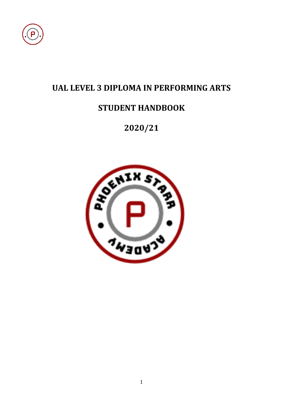

# **UAL LEVEL 3 DIPLOMA IN PERFORMING ARTS**

# **STUDENT HANDBOOK**

# **2020/21**

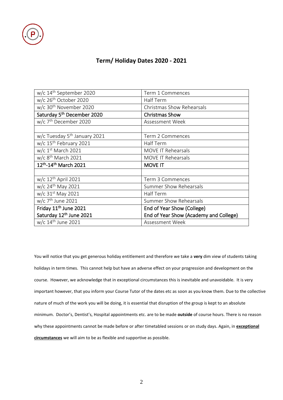

# **Term/ Holiday Dates 2020 - 2021**

| w/c 14 <sup>th</sup> September 2020      | Term 1 Commences                       |  |
|------------------------------------------|----------------------------------------|--|
| w/c 26 <sup>th</sup> October 2020        | Half Term                              |  |
| w/c 30 <sup>th</sup> November 2020       | Christmas Show Rehearsals              |  |
| Saturday 5 <sup>th</sup> December 2020   | <b>Christmas Show</b>                  |  |
| w/c 7 <sup>th</sup> December 2020        | Assessment Week                        |  |
|                                          |                                        |  |
| w/c Tuesday 5 <sup>th</sup> January 2021 | Term 2 Commences                       |  |
| w/c 15 <sup>th</sup> February 2021       | Half Term                              |  |
| w/c 1st March 2021                       | <b>MOVE IT Rehearsals</b>              |  |
| w/c 8 <sup>th</sup> March 2021           | <b>MOVE IT Rehearsals</b>              |  |
| 12th-14th March 2021                     | <b>MOVE IT</b>                         |  |
|                                          |                                        |  |
| w/c 12 <sup>th</sup> April 2021          | Term 3 Commences                       |  |
| w/c 24 <sup>th</sup> May 2021            | <b>Summer Show Rehearsals</b>          |  |
| w/c 31 <sup>st</sup> May 2021            | Half Term                              |  |
| w/c 7 <sup>th</sup> June 2021            | <b>Summer Show Rehearsals</b>          |  |
| Friday 11 <sup>th</sup> June 2021        | End of Year Show (College)             |  |
| Saturday 12th June 2021                  | End of Year Show (Academy and College) |  |
| w/c 14 <sup>th</sup> June 2021           | Assessment Week                        |  |

You will notice that you get generous holiday entitlement and therefore we take a **very** dim view of students taking holidays in term times. This cannot help but have an adverse effect on your progression and development on the course. However, we acknowledge that in exceptional circumstances this is inevitable and unavoidable. It is very important however, that you inform your Course Tutor of the dates etc as soon as you know them. Due to the collective nature of much of the work you will be doing, it is essential that disruption of the group is kept to an absolute minimum. Doctor's, Dentist's, Hospital appointments etc. are to be made **outside** of course hours. There is no reason why these appointments cannot be made before or after timetabled sessions or on study days. Again, in **exceptional circumstances** we will aim to be as flexible and supportive as possible.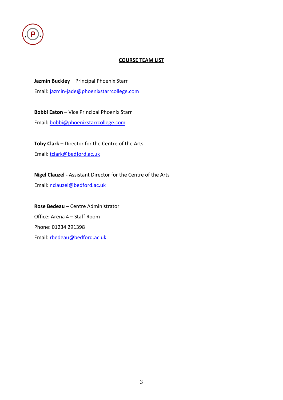

## **COURSE TEAM LIST**

**Jazmin Buckley** – Principal Phoenix Starr Email: [jazmin-jade@phoenixstarrcollege.com](mailto:jazmin-jade@phoenixstarrcollege.com)

**Bobbi Eaton** – Vice Principal Phoenix Starr Email: [bobbi@phoenixstarrcollege.com](mailto:bobbi@phoenixstarrcollege.com)

**Toby Clark** – Director for the Centre of the Arts Email: [tclark@bedford.ac.uk](mailto:tclark@bedford.ac.uk)

**Nigel Clauzel -** Assistant Director for the Centre of the Arts Email: [nclauzel@bedford.ac.uk](mailto:nclauzel@bedford.ac.uk)

**Rose Bedeau** – Centre Administrator Office: Arena 4 – Staff Room Phone: 01234 291398 Email: [rbedeau@bedford.ac.uk](mailto:rbedeau@bedford.ac.uk)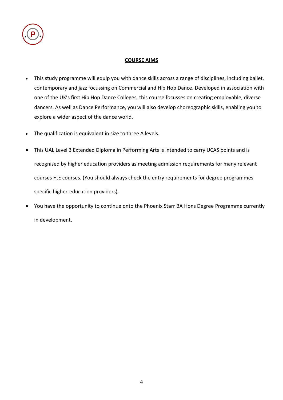

### **COURSE AIMS**

- This study programme will equip you with dance skills across a range of disciplines, including ballet, contemporary and jazz focussing on Commercial and Hip Hop Dance. Developed in association with one of the UK's first Hip Hop Dance Colleges, this course focusses on creating employable, diverse dancers. As well as Dance Performance, you will also develop choreographic skills, enabling you to explore a wider aspect of the dance world.
- The qualification is equivalent in size to three A levels.
- This UAL Level 3 Extended Diploma in Performing Arts is intended to carry UCAS points and is recognised by higher education providers as meeting admission requirements for many relevant courses H.E courses. (You should always check the entry requirements for degree programmes specific higher-education providers).
- You have the opportunity to continue onto the Phoenix Starr BA Hons Degree Programme currently in development.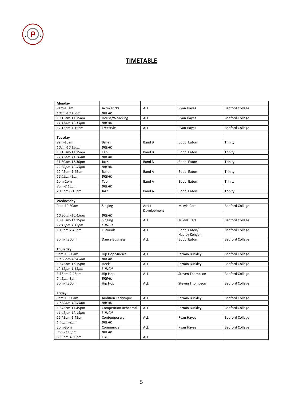

# **TIMETABLE**

| Monday          |                              |               |                    |                        |
|-----------------|------------------------------|---------------|--------------------|------------------------|
| 9am-10am        | Acro/Tricks                  | ALL           | Ryan Hayes         | <b>Bedford College</b> |
| 10am-10.15am    | <b>BREAK</b>                 |               |                    |                        |
| 10.15am-11.15am | House/Waacking               | ALL           | Ryan Hayes         | <b>Bedford College</b> |
| 11.15am-12.15pm | <b>BREAK</b>                 |               |                    |                        |
| 12.15pm-1.15pm  | Freestyle                    | ALL           | Ryan Hayes         | <b>Bedford College</b> |
|                 |                              |               |                    |                        |
| Tuesday         |                              |               |                    |                        |
| 9am-10am        | <b>Ballet</b>                | <b>Band B</b> | <b>Bobbi Eaton</b> | Trinity                |
| 10am-10.15am    | <b>BREAK</b>                 |               |                    |                        |
| 10.15am-11.15am | Tap                          | <b>Band B</b> | Bobbi Eaton        | Trinity                |
| 11.15am-11.30am | <b>BREAK</b>                 |               |                    |                        |
| 11.30am-12.30pm | Jazz                         | Band B        | Bobbi Eaton        | Trinity                |
| 12.30pm-12.45pm | <b>BREAK</b>                 |               |                    |                        |
| 12.45pm-1.45pm  | <b>Ballet</b>                | <b>Band A</b> | Bobbi Eaton        | Trinity                |
| 12.45pm-1pm     | <b>BREAK</b>                 |               |                    |                        |
| 1pm-2pm         | Tap                          | Band A        | Bobbi Eaton        | Trinity                |
| 2pm-2.15pm      | <b>BREAK</b>                 |               |                    |                        |
| 2.15pm-3.15pm   | Jazz                         | <b>Band A</b> | Bobbi Eaton        | Trinity                |
|                 |                              |               |                    |                        |
| Wednesday       |                              |               |                    |                        |
| 9am-10.30am     | Singing                      | Artist        | Mikyla Cara        | <b>Bedford College</b> |
|                 |                              | Development   |                    |                        |
| 10.30am-10.45am | <b>BREAK</b>                 |               |                    |                        |
| 10.45am-12.15pm | Singing                      | ALL           | Mikyla Cara        | <b>Bedford College</b> |
| 12.15pm-1.15pm  | LUNCH                        |               |                    |                        |
| 1.15pm-2.45pm   | <b>Tutorials</b>             | ALL           | Bobbi Eaton/       | <b>Bedford College</b> |
|                 |                              |               | Hadley Kenyon      |                        |
| 3pm-4.30pm      | Dance Business               | ALL           | Bobbi Eaton        | <b>Bedford College</b> |
|                 |                              |               |                    |                        |
| Thursday        |                              |               |                    |                        |
| 9am-10.30am     | <b>Hip Hop Studies</b>       | ALL           | Jazmin Buckley     | <b>Bedford College</b> |
| 10.30am-10.45am | <b>BREAK</b>                 |               |                    |                        |
| 10.45am-12.15pm | Heels                        | ALL           | Jazmin Buckley     | <b>Bedford College</b> |
| 12.15pm-1.15pm  | <b>LUNCH</b>                 |               |                    |                        |
| 1.15pm-2.45pm   | Hip Hop                      | ALL           | Steven Thompson    | <b>Bedford College</b> |
| 2.45pm-3pm      | <b>BREAK</b>                 |               |                    |                        |
| 3pm-4.30pm      | Hip Hop                      | ALL           | Steven Thompson    | <b>Bedford College</b> |
|                 |                              |               |                    |                        |
| Friday          |                              |               |                    |                        |
| 9am-10.30am     | <b>Audition Technique</b>    | ALL           | Jazmin Buckley     | <b>Bedford College</b> |
| 10.30am-10.45am | <b>BREAK</b>                 |               |                    |                        |
| 10.45am-11.45pm | <b>Competition Rehearsal</b> | ALL           | Jazmin Buckley     | <b>Bedford College</b> |
| 11.45pm-12.45pm | <b>LUNCH</b>                 |               |                    |                        |
| 12.45pm-1.45pm  | Contemporary                 | ALL           | Ryan Hayes         | <b>Bedford College</b> |
| $1.45pm-2pm$    | <b>BREAK</b>                 |               |                    |                        |
| 2pm-3pm         | Commercial                   | ALL           | Ryan Hayes         | <b>Bedford College</b> |
| 3pm-3.15pm      | <b>BREAK</b>                 |               |                    |                        |
| 3.30pm-4.30pm   | TBC                          | ALL           |                    |                        |
|                 |                              |               |                    |                        |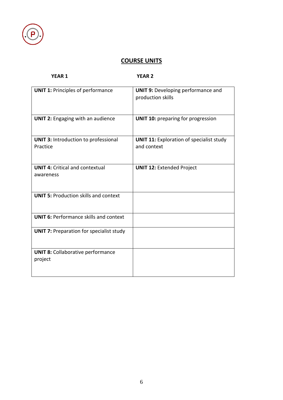

# **COURSE UNITS**

| <b>YEAR 1</b>                                           | <b>YEAR 2</b>                                                  |
|---------------------------------------------------------|----------------------------------------------------------------|
| <b>UNIT 1: Principles of performance</b>                | <b>UNIT 9: Developing performance and</b><br>production skills |
| <b>UNIT 2: Engaging with an audience</b>                | <b>UNIT 10: preparing for progression</b>                      |
| <b>UNIT 3: Introduction to professional</b><br>Practice | <b>UNIT 11: Exploration of specialist study</b><br>and context |
| <b>UNIT 4: Critical and contextual</b><br>awareness     | <b>UNIT 12: Extended Project</b>                               |
| <b>UNIT 5: Production skills and context</b>            |                                                                |
| <b>UNIT 6: Performance skills and context</b>           |                                                                |
| <b>UNIT 7: Preparation for specialist study</b>         |                                                                |
| <b>UNIT 8: Collaborative performance</b><br>project     |                                                                |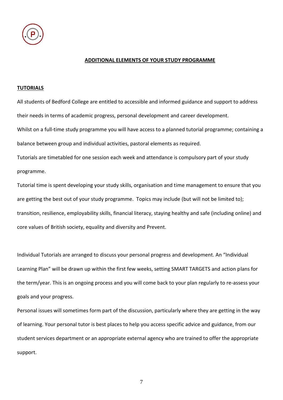

### **ADDITIONAL ELEMENTS OF YOUR STUDY PROGRAMME**

#### **TUTORIALS**

All students of Bedford College are entitled to accessible and informed guidance and support to address their needs in terms of academic progress, personal development and career development. Whilst on a full-time study programme you will have access to a planned tutorial programme; containing a balance between group and individual activities, pastoral elements as required.

Tutorials are timetabled for one session each week and attendance is compulsory part of your study programme.

Tutorial time is spent developing your study skills, organisation and time management to ensure that you are getting the best out of your study programme. Topics may include (but will not be limited to); transition, resilience, employability skills, financial literacy, staying healthy and safe (including online) and core values of British society, equality and diversity and Prevent.

Individual Tutorials are arranged to discuss your personal progress and development. An "Individual Learning Plan" will be drawn up within the first few weeks, setting SMART TARGETS and action plans for the term/year. This is an ongoing process and you will come back to your plan regularly to re-assess your goals and your progress.

Personal issues will sometimes form part of the discussion, particularly where they are getting in the way of learning. Your personal tutor is best places to help you access specific advice and guidance, from our student services department or an appropriate external agency who are trained to offer the appropriate support.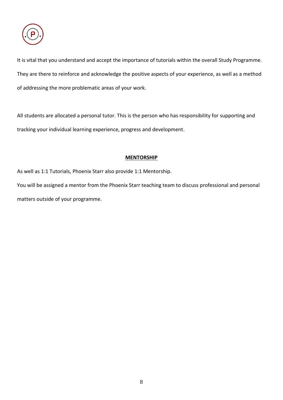

It is vital that you understand and accept the importance of tutorials within the overall Study Programme. They are there to reinforce and acknowledge the positive aspects of your experience, as well as a method of addressing the more problematic areas of your work.

All students are allocated a personal tutor. This is the person who has responsibility for supporting and tracking your individual learning experience, progress and development.

### **MENTORSHIP**

As well as 1:1 Tutorials, Phoenix Starr also provide 1:1 Mentorship.

You will be assigned a mentor from the Phoenix Starr teaching team to discuss professional and personal matters outside of your programme.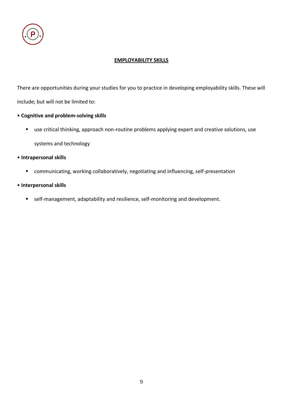

## **EMPLOYABILITY SKILLS**

There are opportunities during your studies for you to practice in developing employability skills. These will include; but will not be limited to:

# • **Cognitive and problem-solving skills**

■ use critical thinking, approach non-routine problems applying expert and creative solutions, use

systems and technology

### • **Intrapersonal skills**

- communicating, working collaboratively, negotiating and influencing, self-presentation
- **Interpersonal skills**
	- self-management, adaptability and resilience, self-monitoring and development.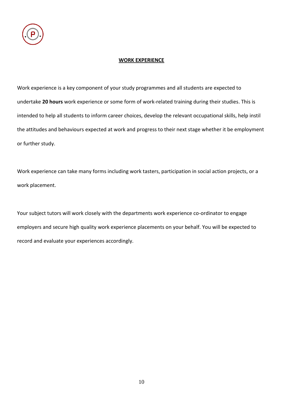

#### **WORK EXPERIENCE**

Work experience is a key component of your study programmes and all students are expected to undertake **20 hours** work experience or some form of work-related training during their studies. This is intended to help all students to inform career choices, develop the relevant occupational skills, help instil the attitudes and behaviours expected at work and progress to their next stage whether it be employment or further study.

Work experience can take many forms including work tasters, participation in social action projects, or a work placement.

Your subject tutors will work closely with the departments work experience co-ordinator to engage employers and secure high quality work experience placements on your behalf. You will be expected to record and evaluate your experiences accordingly.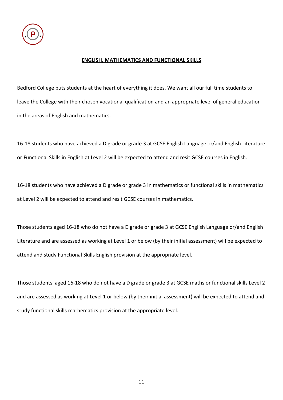

### **ENGLISH, MATHEMATICS AND FUNCTIONAL SKILLS**

Bedford College puts students at the heart of everything it does. We want all our full time students to leave the College with their chosen vocational qualification and an appropriate level of general education in the areas of English and mathematics.

16-18 students who have achieved a D grade or grade 3 at GCSE English Language or/and English Literature or **F**unctional Skills in English at Level 2 will be expected to attend and resit GCSE courses in English.

16-18 students who have achieved a D grade or grade 3 in mathematics or functional skills in mathematics at Level 2 will be expected to attend and resit GCSE courses in mathematics.

Those students aged 16-18 who do not have a D grade or grade 3 at GCSE English Language or/and English Literature and are assessed as working at Level 1 or below (by their initial assessment) will be expected to attend and study Functional Skills English provision at the appropriate level.

Those students aged 16-18 who do not have a D grade or grade 3 at GCSE maths or functional skills Level 2 and are assessed as working at Level 1 or below (by their initial assessment) will be expected to attend and study functional skills mathematics provision at the appropriate level.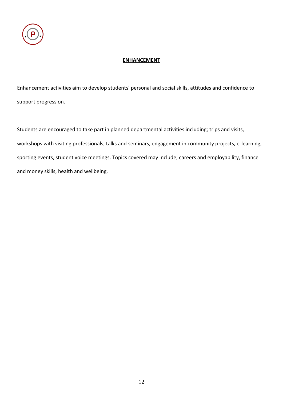

## **ENHANCEMENT**

Enhancement activities aim to develop students' personal and social skills, attitudes and confidence to support progression.

Students are encouraged to take part in planned departmental activities including; trips and visits, workshops with visiting professionals, talks and seminars, engagement in community projects, e-learning, sporting events, student voice meetings. Topics covered may include; careers and employability, finance and money skills, health and wellbeing.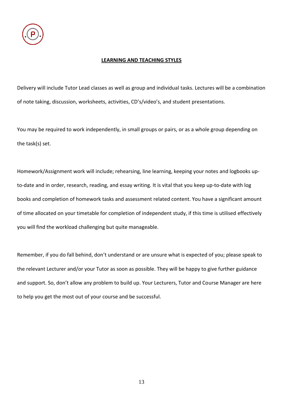

### **LEARNING AND TEACHING STYLES**

Delivery will include Tutor Lead classes as well as group and individual tasks. Lectures will be a combination of note taking, discussion, worksheets, activities, CD's/video's, and student presentations.

You may be required to work independently, in small groups or pairs, or as a whole group depending on the task(s) set.

Homework/Assignment work will include; rehearsing, line learning, keeping your notes and logbooks upto-date and in order, research, reading, and essay writing. It is vital that you keep up-to-date with log books and completion of homework tasks and assessment related content. You have a significant amount of time allocated on your timetable for completion of independent study, if this time is utilised effectively you will find the workload challenging but quite manageable.

Remember, if you do fall behind, don't understand or are unsure what is expected of you; please speak to the relevant Lecturer and/or your Tutor as soon as possible. They will be happy to give further guidance and support. So, don't allow any problem to build up. Your Lecturers, Tutor and Course Manager are here to help you get the most out of your course and be successful.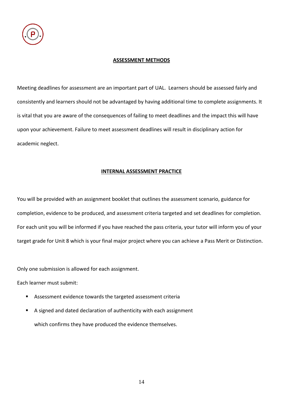

### **ASSESSMENT METHODS**

Meeting deadlines for assessment are an important part of UAL. Learners should be assessed fairly and consistently and learners should not be advantaged by having additional time to complete assignments. It is vital that you are aware of the consequences of failing to meet deadlines and the impact this will have upon your achievement. Failure to meet assessment deadlines will result in disciplinary action for academic neglect.

### **INTERNAL ASSESSMENT PRACTICE**

You will be provided with an assignment booklet that outlines the assessment scenario, guidance for completion, evidence to be produced, and assessment criteria targeted and set deadlines for completion. For each unit you will be informed if you have reached the pass criteria, your tutor will inform you of your target grade for Unit 8 which is your final major project where you can achieve a Pass Merit or Distinction.

Only one submission is allowed for each assignment.

Each learner must submit:

- Assessment evidence towards the targeted assessment criteria
- A signed and dated declaration of authenticity with each assignment which confirms they have produced the evidence themselves.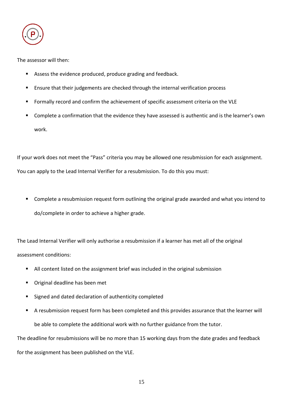

The assessor will then:

- Assess the evidence produced, produce grading and feedback.
- Ensure that their judgements are checked through the internal verification process
- Formally record and confirm the achievement of specific assessment criteria on the VLE
- Complete a confirmation that the evidence they have assessed is authentic and is the learner's own work.

If your work does not meet the "Pass" criteria you may be allowed one resubmission for each assignment. You can apply to the Lead Internal Verifier for a resubmission. To do this you must:

■ Complete a resubmission request form outlining the original grade awarded and what you intend to do/complete in order to achieve a higher grade.

The Lead Internal Verifier will only authorise a resubmission if a learner has met all of the original assessment conditions:

- All content listed on the assignment brief was included in the original submission
- Original deadline has been met
- Signed and dated declaration of authenticity completed
- A resubmission request form has been completed and this provides assurance that the learner will be able to complete the additional work with no further guidance from the tutor.

The deadline for resubmissions will be no more than 15 working days from the date grades and feedback

for the assignment has been published on the VLE.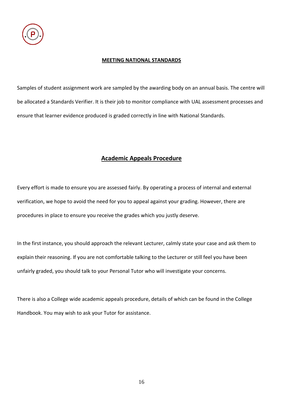

### **MEETING NATIONAL STANDARDS**

Samples of student assignment work are sampled by the awarding body on an annual basis. The centre will be allocated a Standards Verifier. It is their job to monitor compliance with UAL assessment processes and ensure that learner evidence produced is graded correctly in line with National Standards.

# **Academic Appeals Procedure**

Every effort is made to ensure you are assessed fairly. By operating a process of internal and external verification, we hope to avoid the need for you to appeal against your grading. However, there are procedures in place to ensure you receive the grades which you justly deserve.

In the first instance, you should approach the relevant Lecturer, calmly state your case and ask them to explain their reasoning. If you are not comfortable talking to the Lecturer or still feel you have been unfairly graded, you should talk to your Personal Tutor who will investigate your concerns.

There is also a College wide academic appeals procedure, details of which can be found in the College Handbook. You may wish to ask your Tutor for assistance.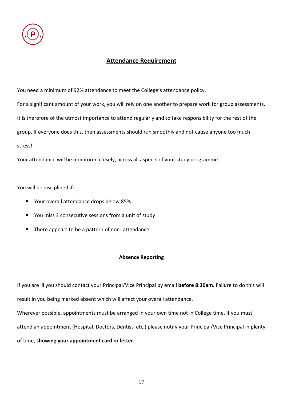

# **Attendance Requirement**

You need a minimum of 92% attendance to meet the College's attendance policy.

For a significant amount of your work, you will rely on one another to prepare work for group assessments.

It is therefore of the utmost importance to attend regularly and to take responsibility for the rest of the

group. If everyone does this, then assessments should run smoothly and not cause anyone too much

stress!

Your attendance will be monitored closely, across all aspects of your study programme.

You will be disciplined if:

- Your overall attendance drops below 85%
- You miss 3 consecutive sessions from a unit of study
- There appears to be a pattern of non-attendance

# **Absence Reporting**

If you are ill you should contact your Principal/Vice Principal by email **before 8:30am.** Failure to do this will result in you being marked absent which will affect your overall attendance. Wherever possible, appointments must be arranged in your own time not in College time. If you must

attend an appointment (Hospital, Doctors, Dentist, etc.) please notify your Principal/Vice Principal in plenty

of time, **showing your appointment card or letter.**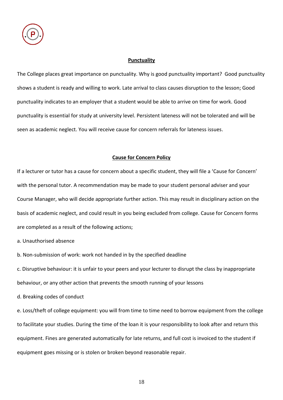

#### **Punctuality**

The College places great importance on punctuality. Why is good punctuality important? Good punctuality shows a student is ready and willing to work. Late arrival to class causes disruption to the lesson; Good punctuality indicates to an employer that a student would be able to arrive on time for work. Good punctuality is essential for study at university level. Persistent lateness will not be tolerated and will be seen as academic neglect. You will receive cause for concern referrals for lateness issues.

#### **Cause for Concern Policy**

If a lecturer or tutor has a cause for concern about a specific student, they will file a 'Cause for Concern' with the personal tutor. A recommendation may be made to your student personal adviser and your Course Manager, who will decide appropriate further action. This may result in disciplinary action on the basis of academic neglect, and could result in you being excluded from college. Cause for Concern forms are completed as a result of the following actions;

a. Unauthorised absence

b. Non-submission of work: work not handed in by the specified deadline

c. Disruptive behaviour: it is unfair to your peers and your lecturer to disrupt the class by inappropriate behaviour, or any other action that prevents the smooth running of your lessons

d. Breaking codes of conduct

e. Loss/theft of college equipment: you will from time to time need to borrow equipment from the college to facilitate your studies. During the time of the loan it is your responsibility to look after and return this equipment. Fines are generated automatically for late returns, and full cost is invoiced to the student if equipment goes missing or is stolen or broken beyond reasonable repair.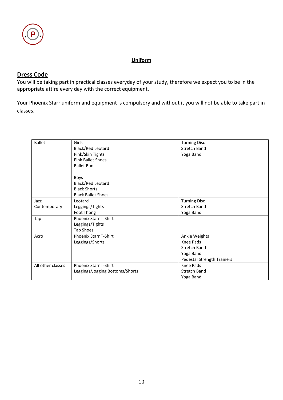

# **Uniform**

# **Dress Code**

You will be taking part in practical classes everyday of your study, therefore we expect you to be in the appropriate attire every day with the correct equipment.

Your Phoenix Starr uniform and equipment is compulsory and without it you will not be able to take part in classes.

| <b>Ballet</b>     | Girls                           | <b>Turning Disc</b>               |
|-------------------|---------------------------------|-----------------------------------|
|                   | <b>Black/Red Leotard</b>        | <b>Stretch Band</b>               |
|                   |                                 |                                   |
|                   | Pink/Skin Tights                | Yoga Band                         |
|                   | <b>Pink Ballet Shoes</b>        |                                   |
|                   | <b>Ballet Bun</b>               |                                   |
|                   |                                 |                                   |
|                   | Boys                            |                                   |
|                   | <b>Black/Red Leotard</b>        |                                   |
|                   | <b>Black Shorts</b>             |                                   |
|                   | <b>Black Ballet Shoes</b>       |                                   |
| Jazz              | Leotard                         | <b>Turning Disc</b>               |
| Contemporary      | Leggings/Tights                 | <b>Stretch Band</b>               |
|                   | Foot Thong                      | Yoga Band                         |
| Tap               | <b>Phoenix Starr T-Shirt</b>    |                                   |
|                   | Leggings/Tights                 |                                   |
|                   | <b>Tap Shoes</b>                |                                   |
| Acro              | <b>Phoenix Starr T-Shirt</b>    | Ankle Weights                     |
|                   | Leggings/Shorts                 | Knee Pads                         |
|                   |                                 | <b>Stretch Band</b>               |
|                   |                                 | Yoga Band                         |
|                   |                                 | <b>Pedestal Strength Trainers</b> |
| All other classes | <b>Phoenix Starr T-Shirt</b>    | Knee Pads                         |
|                   | Leggings/Jogging Bottoms/Shorts | <b>Stretch Band</b>               |
|                   |                                 | Yoga Band                         |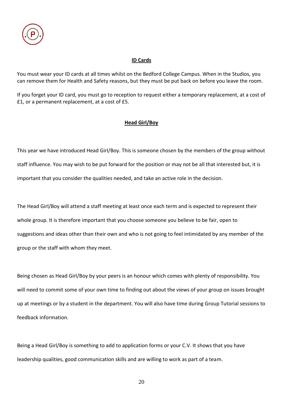

### **ID Cards**

You must wear your ID cards at all times whilst on the Bedford College Campus. When in the Studios, you can remove them for Health and Safety reasons, but they must be put back on before you leave the room.

If you forget your ID card, you must go to reception to request either a temporary replacement, at a cost of £1, or a permanent replacement, at a cost of £5.

# **Head Girl/Boy**

This year we have introduced Head Girl/Boy. This is someone chosen by the members of the group without staff influence. You may wish to be put forward for the position or may not be all that interested but, it is important that you consider the qualities needed, and take an active role in the decision.

The Head Girl/Boy will attend a staff meeting at least once each term and is expected to represent their whole group. It is therefore important that you choose someone you believe to be fair, open to suggestions and ideas other than their own and who is not going to feel intimidated by any member of the group or the staff with whom they meet.

Being chosen as Head Girl/Boy by your peers is an honour which comes with plenty of responsibility. You will need to commit some of your own time to finding out about the views of your group on issues brought up at meetings or by a student in the department. You will also have time during Group Tutorial sessions to feedback information.

Being a Head Girl/Boy is something to add to application forms or your C.V. It shows that you have leadership qualities, good communication skills and are willing to work as part of a team.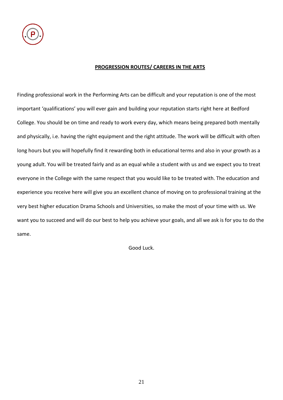

### **PROGRESSION ROUTES/ CAREERS IN THE ARTS**

Finding professional work in the Performing Arts can be difficult and your reputation is one of the most important 'qualifications' you will ever gain and building your reputation starts right here at Bedford College. You should be on time and ready to work every day, which means being prepared both mentally and physically, i.e. having the right equipment and the right attitude. The work will be difficult with often long hours but you will hopefully find it rewarding both in educational terms and also in your growth as a young adult. You will be treated fairly and as an equal while a student with us and we expect you to treat everyone in the College with the same respect that you would like to be treated with. The education and experience you receive here will give you an excellent chance of moving on to professional training at the very best higher education Drama Schools and Universities, so make the most of your time with us. We want you to succeed and will do our best to help you achieve your goals, and all we ask is for you to do the same.

Good Luck.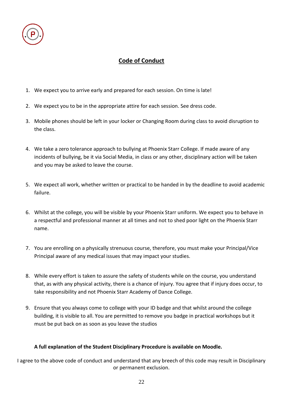

# **Code of Conduct**

- 1. We expect you to arrive early and prepared for each session. On time is late!
- 2. We expect you to be in the appropriate attire for each session. See dress code.
- 3. Mobile phones should be left in your locker or Changing Room during class to avoid disruption to the class.
- 4. We take a zero tolerance approach to bullying at Phoenix Starr College. If made aware of any incidents of bullying, be it via Social Media, in class or any other, disciplinary action will be taken and you may be asked to leave the course.
- 5. We expect all work, whether written or practical to be handed in by the deadline to avoid academic failure.
- 6. Whilst at the college, you will be visible by your Phoenix Starr uniform. We expect you to behave in a respectful and professional manner at all times and not to shed poor light on the Phoenix Starr name.
- 7. You are enrolling on a physically strenuous course, therefore, you must make your Principal/Vice Principal aware of any medical issues that may impact your studies.
- 8. While every effort is taken to assure the safety of students while on the course, you understand that, as with any physical activity, there is a chance of injury. You agree that if injury does occur, to take responsibility and not Phoenix Starr Academy of Dance College.
- 9. Ensure that you always come to college with your ID badge and that whilst around the college building, it is visible to all. You are permitted to remove you badge in practical workshops but it must be put back on as soon as you leave the studios

# **A full explanation of the Student Disciplinary Procedure is available on Moodle.**

I agree to the above code of conduct and understand that any breech of this code may result in Disciplinary or permanent exclusion.